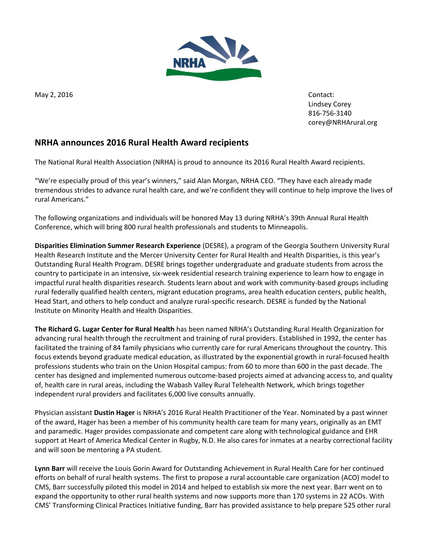

May 2, 2016 **Contact:** Contact:

Lindsey Corey 816-756-3140 [corey@NRHArural.org](mailto:corey@NRHArural.org)

## **NRHA announces 2016 Rural Health Award recipients**

The National Rural Health Association (NRHA) is proud to announce its 2016 Rural Health Award recipients.

"We're especially proud of this year's winners," said Alan Morgan, NRHA CEO. "They have each already made tremendous strides to advance rural health care, and we're confident they will continue to help improve the lives of rural Americans."

The following organizations and individuals will be honored May 13 during NRHA's 39th Annual Rural Health Conference, which will bring 800 rural health professionals and students to Minneapolis.

**Disparities Elimination Summer Research Experience** (DESRE), a program of the Georgia Southern University Rural Health Research Institute and the Mercer University Center for Rural Health and Health Disparities, is this year's Outstanding Rural Health Program. DESRE brings together undergraduate and graduate students from across the country to participate in an intensive, six-week residential research training experience to learn how to engage in impactful rural health disparities research. Students learn about and work with community-based groups including rural federally qualified health centers, migrant education programs, area health education centers, public health, Head Start, and others to help conduct and analyze rural-specific research. DESRE is funded by the National Institute on Minority Health and Health Disparities.

**The Richard G. Lugar Center for Rural Health** has been named NRHA's Outstanding Rural Health Organization for advancing rural health through the recruitment and training of rural providers. Established in 1992, the center has facilitated the training of 84 family physicians who currently care for rural Americans throughout the country. This focus extends beyond graduate medical education, as illustrated by the exponential growth in rural-focused health professions students who train on the Union Hospital campus: from 60 to more than 600 in the past decade. The center has designed and implemented numerous outcome-based projects aimed at advancing access to, and quality of, health care in rural areas, including the Wabash Valley Rural Telehealth Network, which brings together independent rural providers and facilitates 6,000 live consults annually.

Physician assistant **Dustin Hager** is NRHA's 2016 Rural Health Practitioner of the Year. Nominated by a past winner of the award, Hager has been a member of his community health care team for many years, originally as an EMT and paramedic. Hager provides compassionate and competent care along with technological guidance and EHR support at Heart of America Medical Center in Rugby, N.D. He also cares for inmates at a nearby correctional facility and will soon be mentoring a PA student.

**Lynn Barr** will receive the Louis Gorin Award for Outstanding Achievement in Rural Health Care for her continued efforts on behalf of rural health systems. The first to propose a rural accountable care organization (ACO) model to CMS, Barr successfully piloted this model in 2014 and helped to establish six more the next year. Barr went on to expand the opportunity to other rural health systems and now supports more than 170 systems in 22 ACOs. With CMS' Transforming Clinical Practices Initiative funding, Barr has provided assistance to help prepare 525 other rural